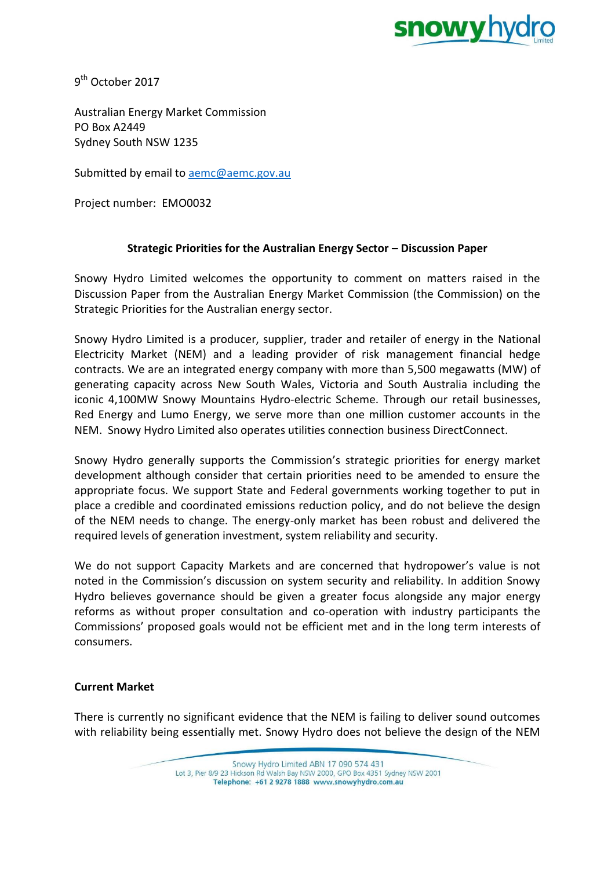

9<sup>th</sup> October 2017

Australian Energy Market Commission PO Box A2449 Sydney South NSW 1235

Submitted by email to [aemc@aemc.gov.au](mailto:aemc@aemc.gov.au)

Project number: EMO0032

## **Strategic Priorities for the Australian Energy Sector – Discussion Paper**

Snowy Hydro Limited welcomes the opportunity to comment on matters raised in the Discussion Paper from the Australian Energy Market Commission (the Commission) on the Strategic Priorities for the Australian energy sector.

Snowy Hydro Limited is a producer, supplier, trader and retailer of energy in the National Electricity Market (NEM) and a leading provider of risk management financial hedge contracts. We are an integrated energy company with more than 5,500 megawatts (MW) of generating capacity across New South Wales, Victoria and South Australia including the iconic 4,100MW Snowy Mountains Hydro-electric Scheme. Through our retail businesses, Red Energy and Lumo Energy, we serve more than one million customer accounts in the NEM. Snowy Hydro Limited also operates utilities connection business DirectConnect.

Snowy Hydro generally supports the Commission's strategic priorities for energy market development although consider that certain priorities need to be amended to ensure the appropriate focus. We support State and Federal governments working together to put in place a credible and coordinated emissions reduction policy, and do not believe the design of the NEM needs to change. The energy-only market has been robust and delivered the required levels of generation investment, system reliability and security.

We do not support Capacity Markets and are concerned that hydropower's value is not noted in the Commission's discussion on system security and reliability. In addition Snowy Hydro believes governance should be given a greater focus alongside any major energy reforms as without proper consultation and co-operation with industry participants the Commissions' proposed goals would not be efficient met and in the long term interests of consumers.

## **Current Market**

There is currently no significant evidence that the NEM is failing to deliver sound outcomes with reliability being essentially met. Snowy Hydro does not believe the design of the NEM

> Snowy Hydro Limited ABN 17 090 574 431 Lot 3, Pier 8/9 23 Hickson Rd Walsh Bay NSW 2000, GPO Box 4351 Sydney NSW 2001 Telephone: +61 2 9278 1888 www.snowyhydro.com.au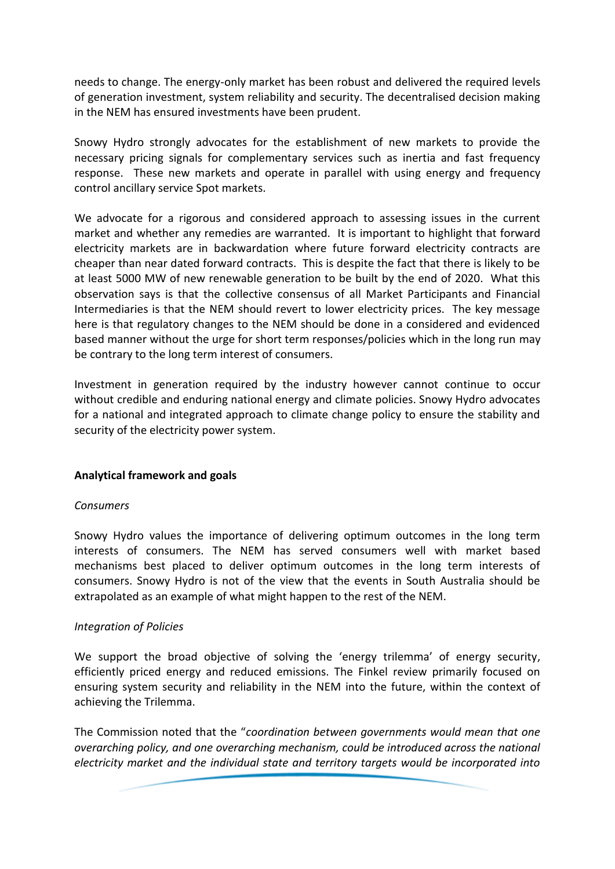needs to change. The energy-only market has been robust and delivered the required levels of generation investment, system reliability and security. The decentralised decision making in the NEM has ensured investments have been prudent.

Snowy Hydro strongly advocates for the establishment of new markets to provide the necessary pricing signals for complementary services such as inertia and fast frequency response. These new markets and operate in parallel with using energy and frequency control ancillary service Spot markets.

We advocate for a rigorous and considered approach to assessing issues in the current market and whether any remedies are warranted. It is important to highlight that forward electricity markets are in backwardation where future forward electricity contracts are cheaper than near dated forward contracts. This is despite the fact that there is likely to be at least 5000 MW of new renewable generation to be built by the end of 2020. What this observation says is that the collective consensus of all Market Participants and Financial Intermediaries is that the NEM should revert to lower electricity prices. The key message here is that regulatory changes to the NEM should be done in a considered and evidenced based manner without the urge for short term responses/policies which in the long run may be contrary to the long term interest of consumers.

Investment in generation required by the industry however cannot continue to occur without credible and enduring national energy and climate policies. Snowy Hydro advocates for a national and integrated approach to climate change policy to ensure the stability and security of the electricity power system.

## **Analytical framework and goals**

#### *Consumers*

Snowy Hydro values the importance of delivering optimum outcomes in the long term interests of consumers. The NEM has served consumers well with market based mechanisms best placed to deliver optimum outcomes in the long term interests of consumers. Snowy Hydro is not of the view that the events in South Australia should be extrapolated as an example of what might happen to the rest of the NEM.

## *Integration of Policies*

We support the broad objective of solving the 'energy trilemma' of energy security, efficiently priced energy and reduced emissions. The Finkel review primarily focused on ensuring system security and reliability in the NEM into the future, within the context of achieving the Trilemma.

The Commission noted that the "*coordination between governments would mean that one overarching policy, and one overarching mechanism, could be introduced across the national electricity market and the individual state and territory targets would be incorporated into*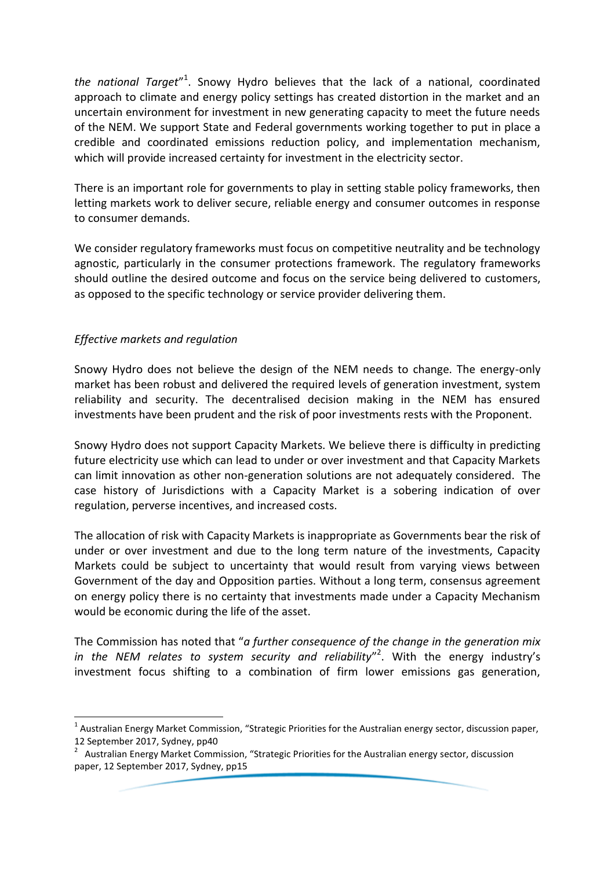the national Target"<sup>1</sup>. Snowy Hydro believes that the lack of a national, coordinated approach to climate and energy policy settings has created distortion in the market and an uncertain environment for investment in new generating capacity to meet the future needs of the NEM. We support State and Federal governments working together to put in place a credible and coordinated emissions reduction policy, and implementation mechanism, which will provide increased certainty for investment in the electricity sector.

There is an important role for governments to play in setting stable policy frameworks, then letting markets work to deliver secure, reliable energy and consumer outcomes in response to consumer demands.

We consider regulatory frameworks must focus on competitive neutrality and be technology agnostic, particularly in the consumer protections framework. The regulatory frameworks should outline the desired outcome and focus on the service being delivered to customers, as opposed to the specific technology or service provider delivering them.

# *Effective markets and regulation*

-

Snowy Hydro does not believe the design of the NEM needs to change. The energy-only market has been robust and delivered the required levels of generation investment, system reliability and security. The decentralised decision making in the NEM has ensured investments have been prudent and the risk of poor investments rests with the Proponent.

Snowy Hydro does not support Capacity Markets. We believe there is difficulty in predicting future electricity use which can lead to under or over investment and that Capacity Markets can limit innovation as other non-generation solutions are not adequately considered. The case history of Jurisdictions with a Capacity Market is a sobering indication of over regulation, perverse incentives, and increased costs.

The allocation of risk with Capacity Markets is inappropriate as Governments bear the risk of under or over investment and due to the long term nature of the investments, Capacity Markets could be subject to uncertainty that would result from varying views between Government of the day and Opposition parties. Without a long term, consensus agreement on energy policy there is no certainty that investments made under a Capacity Mechanism would be economic during the life of the asset.

The Commission has noted that "*a further consequence of the change in the generation mix in the NEM relates to system security and reliability*" 2 . With the energy industry's investment focus shifting to a combination of firm lower emissions gas generation,

<sup>&</sup>lt;sup>1</sup> Australian Energy Market Commission, "Strategic Priorities for the Australian energy sector, discussion paper, 12 September 2017, Sydney, pp40

<sup>&</sup>lt;sup>2</sup> Australian Energy Market Commission, "Strategic Priorities for the Australian energy sector, discussion paper, 12 September 2017, Sydney, pp15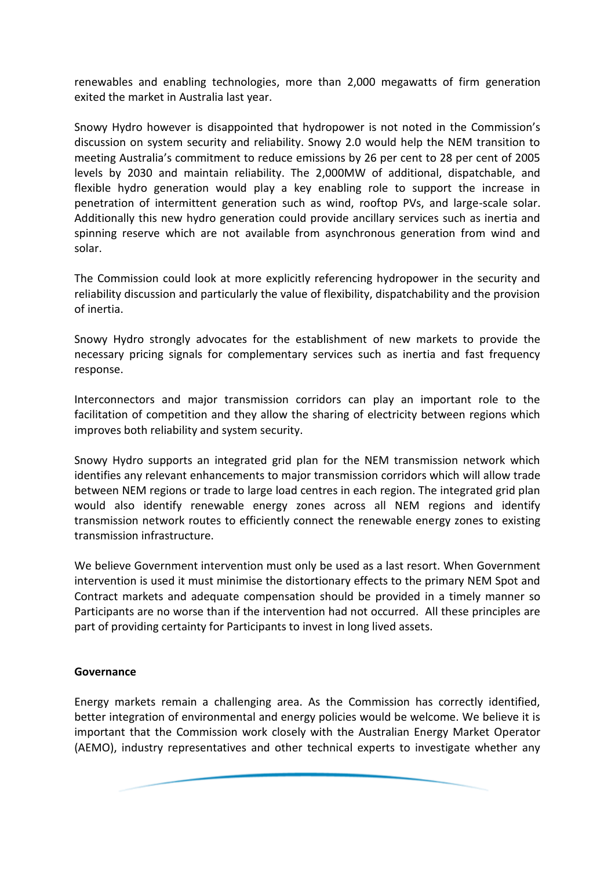renewables and enabling technologies, more than 2,000 megawatts of firm generation exited the market in Australia last year.

Snowy Hydro however is disappointed that hydropower is not noted in the Commission's discussion on system security and reliability. Snowy 2.0 would help the NEM transition to meeting Australia's commitment to reduce emissions by 26 per cent to 28 per cent of 2005 levels by 2030 and maintain reliability. The 2,000MW of additional, dispatchable, and flexible hydro generation would play a key enabling role to support the increase in penetration of intermittent generation such as wind, rooftop PVs, and large-scale solar. Additionally this new hydro generation could provide ancillary services such as inertia and spinning reserve which are not available from asynchronous generation from wind and solar.

The Commission could look at more explicitly referencing hydropower in the security and reliability discussion and particularly the value of flexibility, dispatchability and the provision of inertia.

Snowy Hydro strongly advocates for the establishment of new markets to provide the necessary pricing signals for complementary services such as inertia and fast frequency response.

Interconnectors and major transmission corridors can play an important role to the facilitation of competition and they allow the sharing of electricity between regions which improves both reliability and system security.

Snowy Hydro supports an integrated grid plan for the NEM transmission network which identifies any relevant enhancements to major transmission corridors which will allow trade between NEM regions or trade to large load centres in each region. The integrated grid plan would also identify renewable energy zones across all NEM regions and identify transmission network routes to efficiently connect the renewable energy zones to existing transmission infrastructure.

We believe Government intervention must only be used as a last resort. When Government intervention is used it must minimise the distortionary effects to the primary NEM Spot and Contract markets and adequate compensation should be provided in a timely manner so Participants are no worse than if the intervention had not occurred. All these principles are part of providing certainty for Participants to invest in long lived assets.

## **Governance**

Energy markets remain a challenging area. As the Commission has correctly identified, better integration of environmental and energy policies would be welcome. We believe it is important that the Commission work closely with the Australian Energy Market Operator (AEMO), industry representatives and other technical experts to investigate whether any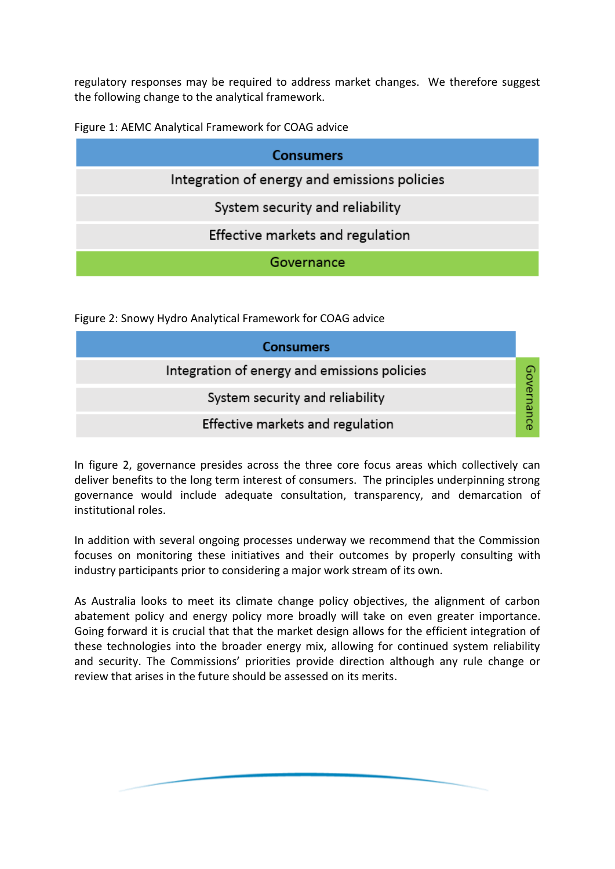regulatory responses may be required to address market changes. We therefore suggest the following change to the analytical framework.

Figure 1: AEMC Analytical Framework for COAG advice

| <b>Consumers</b>                             |
|----------------------------------------------|
| Integration of energy and emissions policies |
| System security and reliability              |
| Effective markets and regulation             |
| Governance                                   |

Figure 2: Snowy Hydro Analytical Framework for COAG advice

| <b>Consumers</b>                             |  |
|----------------------------------------------|--|
| Integration of energy and emissions policies |  |
| System security and reliability              |  |
| Effective markets and regulation             |  |

In figure 2, governance presides across the three core focus areas which collectively can deliver benefits to the long term interest of consumers. The principles underpinning strong governance would include adequate consultation, transparency, and demarcation of institutional roles.

In addition with several ongoing processes underway we recommend that the Commission focuses on monitoring these initiatives and their outcomes by properly consulting with industry participants prior to considering a major work stream of its own.

As Australia looks to meet its climate change policy objectives, the alignment of carbon abatement policy and energy policy more broadly will take on even greater importance. Going forward it is crucial that that the market design allows for the efficient integration of these technologies into the broader energy mix, allowing for continued system reliability and security. The Commissions' priorities provide direction although any rule change or review that arises in the future should be assessed on its merits.